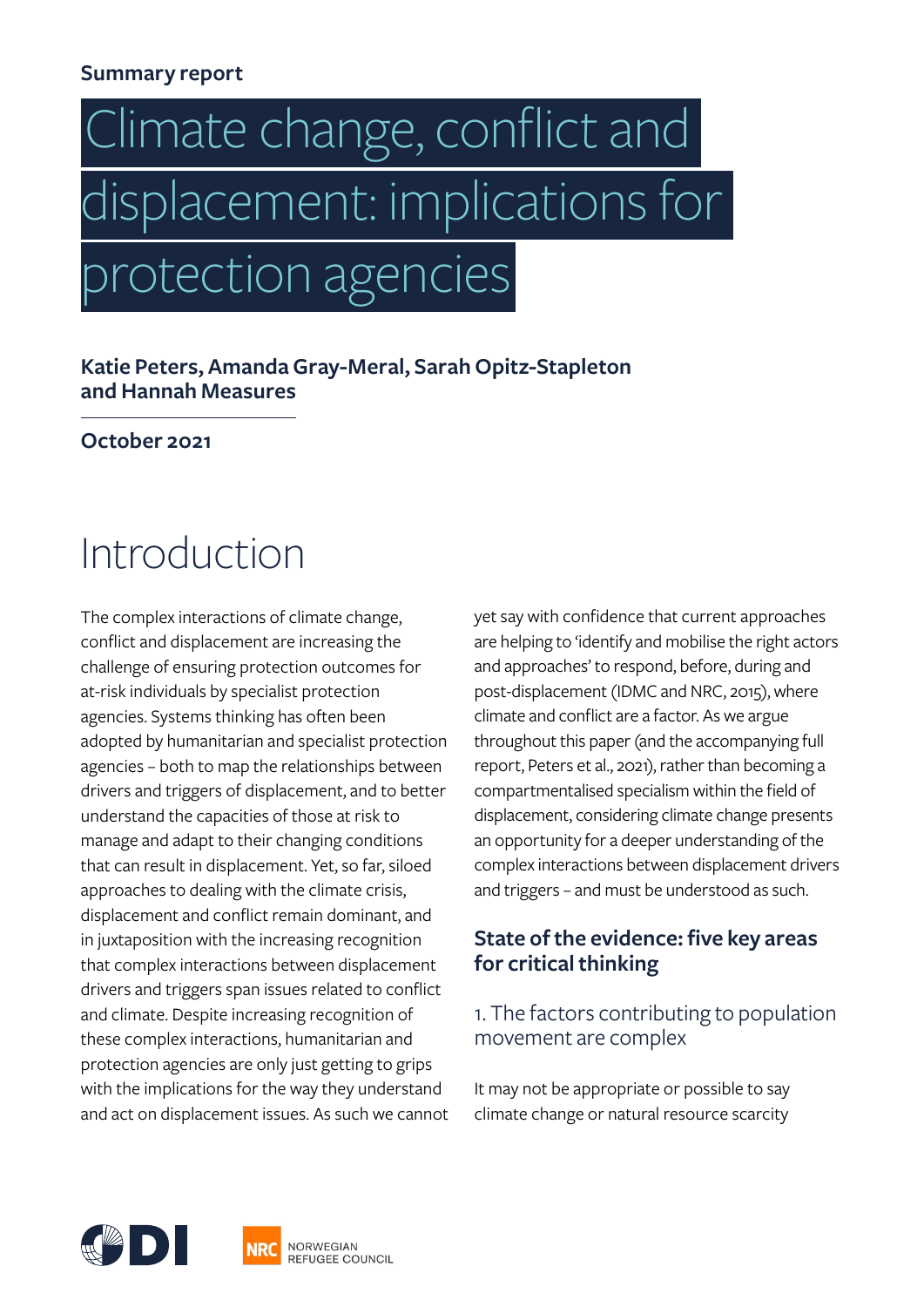#### **Summary report**

# Climate change, conflict and displacement: implications for protection agencies

#### **Katie Peters, Amanda Gray-Meral, Sarah Opitz-Stapleton and Hannah Measures**

#### **October 2021**

# Introduction

The complex interactions of climate change, conflict and displacement are increasing the challenge of ensuring protection outcomes for at-risk individuals by specialist protection agencies. Systems thinking has often been adopted by humanitarian and specialist protection agencies – both to map the relationships between drivers and triggers of displacement, and to better understand the capacities of those at risk to manage and adapt to their changing conditions that can result in displacement. Yet, so far, siloed approaches to dealing with the climate crisis, displacement and conflict remain dominant, and in juxtaposition with the increasing recognition that complex interactions between displacement drivers and triggers span issues related to conflict and climate. Despite increasing recognition of these complex interactions, humanitarian and protection agencies are only just getting to grips with the implications for the way they understand and act on displacement issues. As such we cannot yet say with confidence that current approaches are helping to 'identify and mobilise the right actors and approaches' to respond, before, during and post-displacement (IDMC and NRC, 2015), where climate and conflict are a factor. As we argue throughout this paper (and the accompanying full report, Peters et al., 2021), rather than becoming a compartmentalised specialism within the field of displacement, considering climate change presents an opportunity for a deeper understanding of the complex interactions between displacement drivers and triggers – and must be understood as such.

#### **State of the evidence: five key areas for critical thinking**

#### 1. The factors contributing to population movement are complex

It may not be appropriate or possible to say climate change or natural resource scarcity

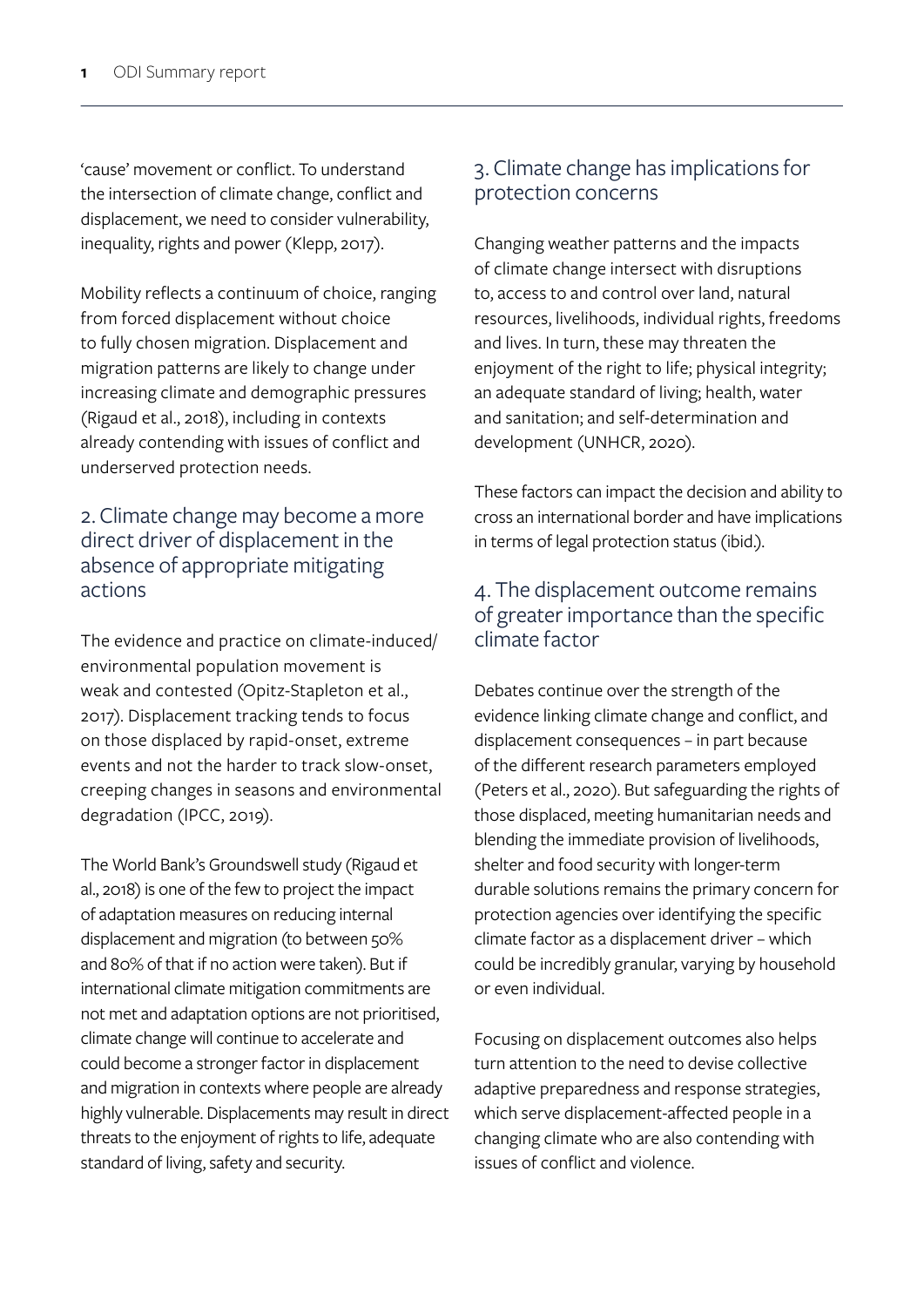'cause' movement or conflict. To understand the intersection of climate change, conflict and displacement, we need to consider vulnerability, inequality, rights and power (Klepp, 2017).

Mobility reflects a continuum of choice, ranging from forced displacement without choice to fully chosen migration. Displacement and migration patterns are likely to change under increasing climate and demographic pressures (Rigaud et al., 2018), including in contexts already contending with issues of conflict and underserved protection needs.

#### 2. Climate change may become a more direct driver of displacement in the absence of appropriate mitigating actions

The evidence and practice on climate-induced/ environmental population movement is weak and contested (Opitz-Stapleton et al., 2017). Displacement tracking tends to focus on those displaced by rapid-onset, extreme events and not the harder to track slow-onset, creeping changes in seasons and environmental degradation (IPCC, 2019).

The World Bank's Groundswell study (Rigaud et al., 2018) is one of the few to project the impact of adaptation measures on reducing internal displacement and migration (to between 50% and 80% of that if no action were taken). But if international climate mitigation commitments are not met and adaptation options are not prioritised, climate change will continue to accelerate and could become a stronger factor in displacement and migration in contexts where people are already highly vulnerable. Displacements may result in direct threats to the enjoyment of rights to life, adequate standard of living, safety and security.

#### 3. Climate change has implications for protection concerns

Changing weather patterns and the impacts of climate change intersect with disruptions to, access to and control over land, natural resources, livelihoods, individual rights, freedoms and lives. In turn, these may threaten the enjoyment of the right to life; physical integrity; an adequate standard of living; health, water and sanitation; and self-determination and development (UNHCR, 2020).

These factors can impact the decision and ability to cross an international border and have implications in terms of legal protection status (ibid.).

#### 4. The displacement outcome remains of greater importance than the specific climate factor

Debates continue over the strength of the evidence linking climate change and conflict, and displacement consequences – in part because of the different research parameters employed (Peters et al., 2020). But safeguarding the rights of those displaced, meeting humanitarian needs and blending the immediate provision of livelihoods, shelter and food security with longer-term durable solutions remains the primary concern for protection agencies over identifying the specific climate factor as a displacement driver – which could be incredibly granular, varying by household or even individual.

Focusing on displacement outcomes also helps turn attention to the need to devise collective adaptive preparedness and response strategies, which serve displacement-affected people in a changing climate who are also contending with issues of conflict and violence.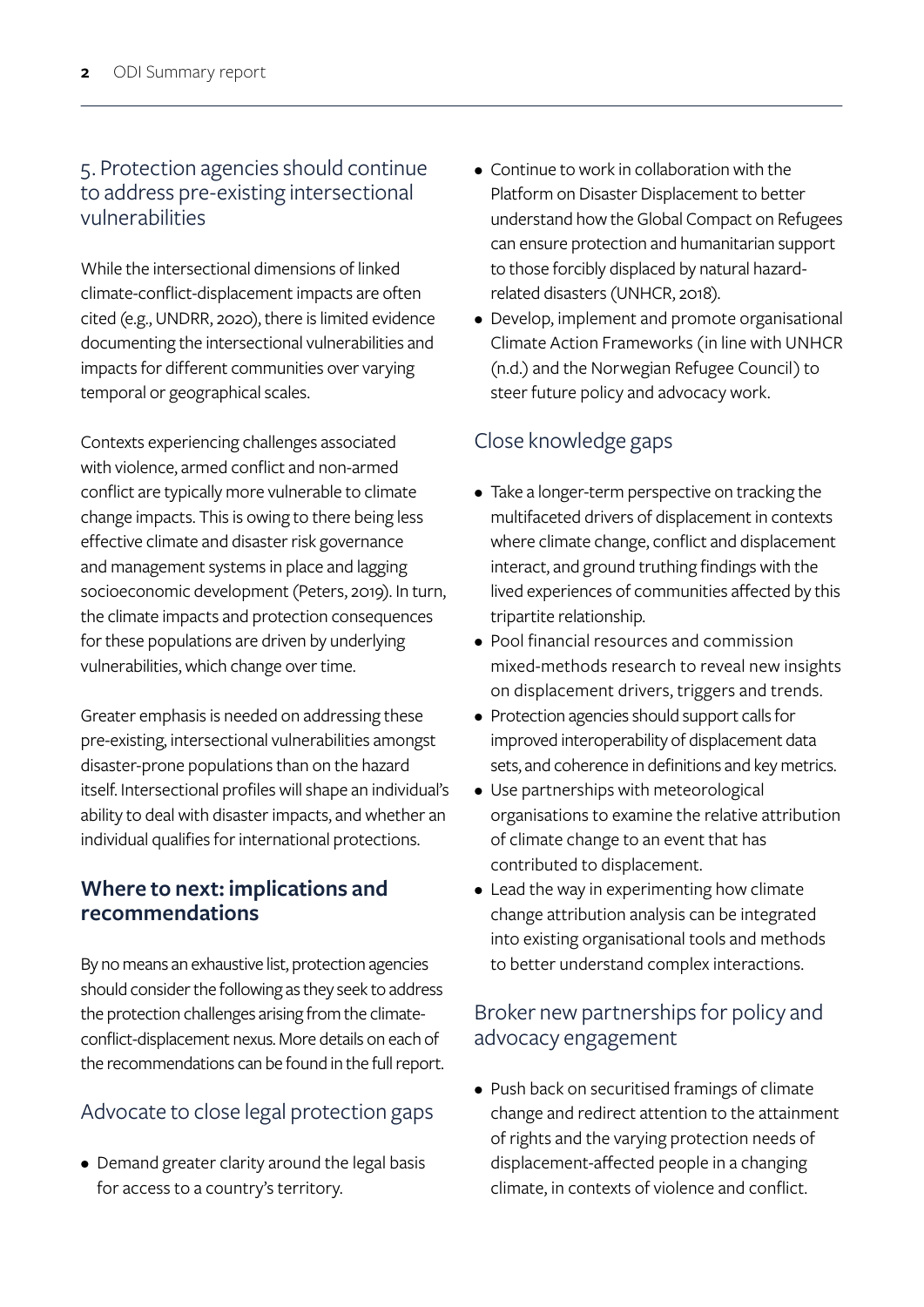#### 5. Protection agencies should continue to address pre-existing intersectional vulnerabilities

While the intersectional dimensions of linked climate-conflict-displacement impacts are often cited (e.g., UNDRR, 2020), there is limited evidence documenting the intersectional vulnerabilities and impacts for different communities over varying temporal or geographical scales.

Contexts experiencing challenges associated with violence, armed conflict and non-armed conflict are typically more vulnerable to climate change impacts. This is owing to there being less effective climate and disaster risk governance and management systems in place and lagging socioeconomic development (Peters, 2019). In turn, the climate impacts and protection consequences for these populations are driven by underlying vulnerabilities, which change over time.

Greater emphasis is needed on addressing these pre-existing, intersectional vulnerabilities amongst disaster-prone populations than on the hazard itself. Intersectional profiles will shape an individual's ability to deal with disaster impacts, and whether an individual qualifies for international protections.

#### **Where to next: implications and recommendations**

By no means an exhaustive list, protection agencies should consider the following as they seek to address the protection challenges arising from the climateconflict-displacement nexus. More details on each of the recommendations can be found in the full report.

# Advocate to close legal protection gaps

• Demand greater clarity around the legal basis for access to a country's territory.

- Continue to work in collaboration with the Platform on Disaster Displacement to better understand how the Global Compact on Refugees can ensure protection and humanitarian support to those forcibly displaced by natural hazardrelated disasters (UNHCR, 2018).
- Develop, implement and promote organisational Climate Action Frameworks (in line with UNHCR (n.d.) and the Norwegian Refugee Council) to steer future policy and advocacy work.

# Close knowledge gaps

- Take a longer-term perspective on tracking the multifaceted drivers of displacement in contexts where climate change, conflict and displacement interact, and ground truthing findings with the lived experiences of communities affected by this tripartite relationship.
- Pool financial resources and commission mixed-methods research to reveal new insights on displacement drivers, triggers and trends.
- Protection agencies should support calls for improved interoperability of displacement data sets, and coherence in definitions and key metrics.
- Use partnerships with meteorological organisations to examine the relative attribution of climate change to an event that has contributed to displacement.
- Lead the way in experimenting how climate change attribution analysis can be integrated into existing organisational tools and methods to better understand complex interactions.

### Broker new partnerships for policy and advocacy engagement

• Push back on securitised framings of climate change and redirect attention to the attainment of rights and the varying protection needs of displacement-affected people in a changing climate, in contexts of violence and conflict.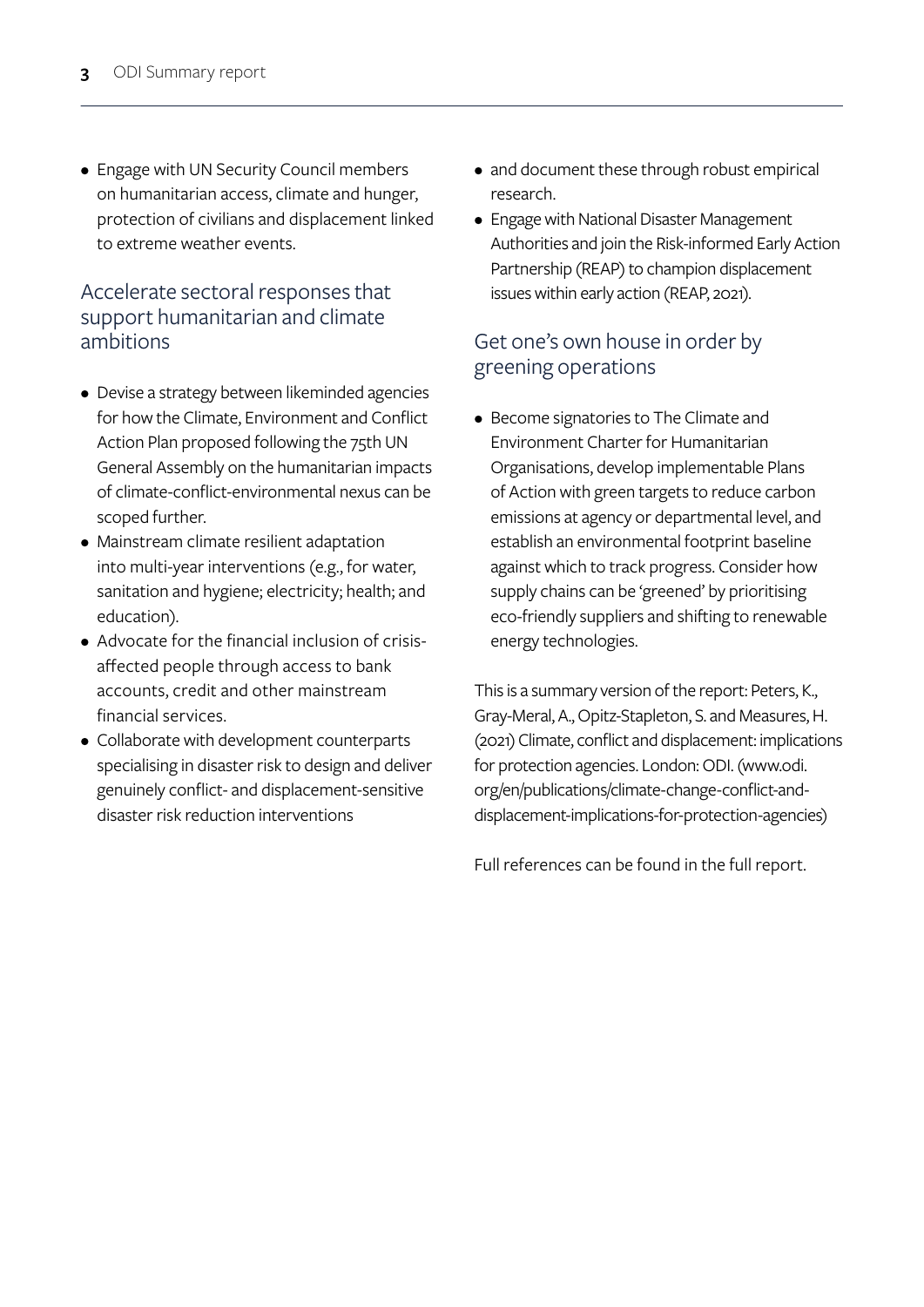• Engage with UN Security Council members on humanitarian access, climate and hunger, protection of civilians and displacement linked to extreme weather events.

#### Accelerate sectoral responses that support humanitarian and climate ambitions

- Devise a strategy between likeminded agencies for how the Climate, Environment and Conflict Action Plan proposed following the 75th UN General Assembly on the humanitarian impacts of climate-conflict-environmental nexus can be scoped further.
- Mainstream climate resilient adaptation into multi-year interventions (e.g., for water, sanitation and hygiene; electricity; health; and education).
- Advocate for the financial inclusion of crisisaffected people through access to bank accounts, credit and other mainstream financial services.
- Collaborate with development counterparts specialising in disaster risk to design and deliver genuinely conflict- and displacement-sensitive disaster risk reduction interventions
- and document these through robust empirical research.
- Engage with National Disaster Management Authorities and join the Risk-informed Early Action Partnership (REAP) to champion displacement issues within early action (REAP, 2021).

#### Get one's own house in order by greening operations

• Become signatories to The Climate and Environment Charter for Humanitarian Organisations, develop implementable Plans of Action with green targets to reduce carbon emissions at agency or departmental level, and establish an environmental footprint baseline against which to track progress. Consider how supply chains can be 'greened' by prioritising eco-friendly suppliers and shifting to renewable energy technologies.

This is a summary version of the report: Peters, K., Gray-Meral, A., Opitz-Stapleton, S. and Measures, H. (2021) Climate, conflict and displacement: implications for protection agencies. London: ODI. (www.odi. org/en/publications/climate-change-conflict-anddisplacement-implications-for-protection-agencies)

Full references can be found in the full report.